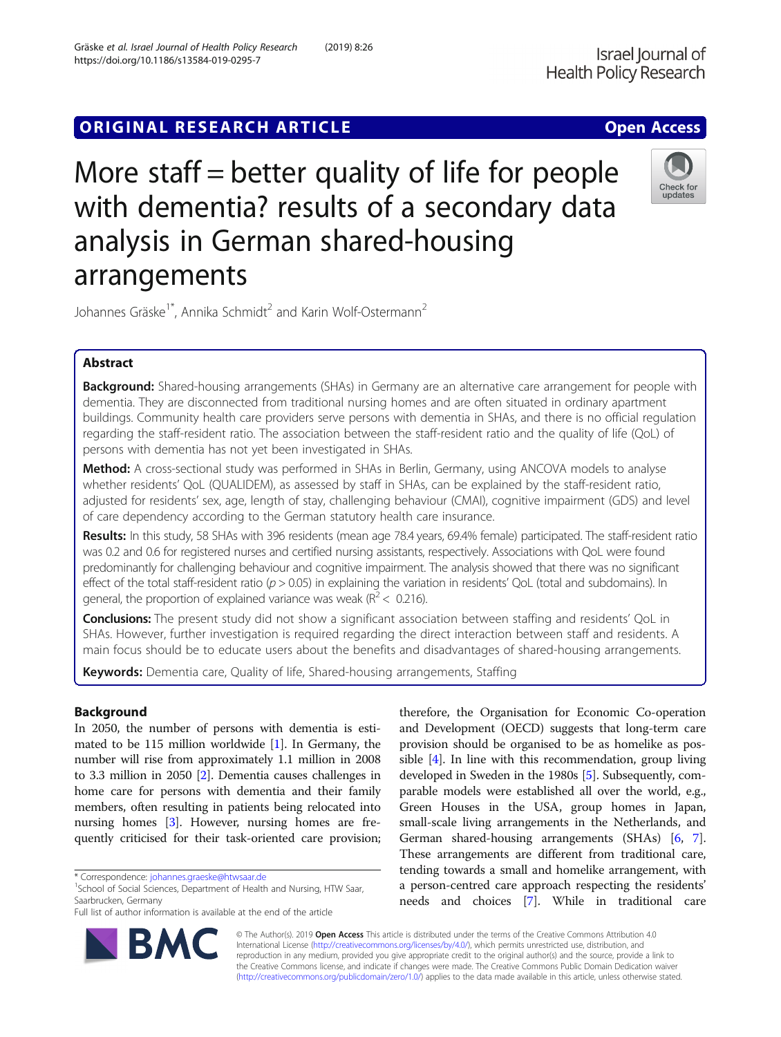## **ORIGINAL RESEARCH ARTICLE CONSUMING ACCESS**

# More staff  $=$  better quality of life for people with dementia? results of a secondary data analysis in German shared-housing arrangements

Johannes Gräske<sup>1\*</sup>, Annika Schmidt<sup>2</sup> and Karin Wolf-Ostermann<sup>2</sup>

#### Abstract

Background: Shared-housing arrangements (SHAs) in Germany are an alternative care arrangement for people with dementia. They are disconnected from traditional nursing homes and are often situated in ordinary apartment buildings. Community health care providers serve persons with dementia in SHAs, and there is no official regulation regarding the staff-resident ratio. The association between the staff-resident ratio and the quality of life (QoL) of persons with dementia has not yet been investigated in SHAs.

Method: A cross-sectional study was performed in SHAs in Berlin, Germany, using ANCOVA models to analyse whether residents' QoL (QUALIDEM), as assessed by staff in SHAs, can be explained by the staff-resident ratio, adjusted for residents' sex, age, length of stay, challenging behaviour (CMAI), cognitive impairment (GDS) and level of care dependency according to the German statutory health care insurance.

Results: In this study, 58 SHAs with 396 residents (mean age 78.4 years, 69.4% female) participated. The staff-resident ratio was 0.2 and 0.6 for registered nurses and certified nursing assistants, respectively. Associations with QoL were found predominantly for challenging behaviour and cognitive impairment. The analysis showed that there was no significant effect of the total staff-resident ratio ( $p > 0.05$ ) in explaining the variation in residents' QoL (total and subdomains). In general, the proportion of explained variance was weak ( $R^2$  < 0.216).

Conclusions: The present study did not show a significant association between staffing and residents' QoL in SHAs. However, further investigation is required regarding the direct interaction between staff and residents. A main focus should be to educate users about the benefits and disadvantages of shared-housing arrangements.

Keywords: Dementia care, Quality of life, Shared-housing arrangements, Staffing

#### Background

In 2050, the number of persons with dementia is estimated to be 115 million worldwide [\[1\]](#page-8-0). In Germany, the number will rise from approximately 1.1 million in 2008 to 3.3 million in 2050 [[2\]](#page-8-0). Dementia causes challenges in home care for persons with dementia and their family members, often resulting in patients being relocated into nursing homes [[3\]](#page-8-0). However, nursing homes are frequently criticised for their task-oriented care provision;

\* Correspondence: [johannes.graeske@htwsaar.de](mailto:johannes.graeske@htwsaar.de) <sup>1</sup>

provision should be organised to be as homelike as possible [[4\]](#page-8-0). In line with this recommendation, group living developed in Sweden in the 1980s [\[5\]](#page-8-0). Subsequently, comparable models were established all over the world, e.g., Green Houses in the USA, group homes in Japan, small-scale living arrangements in the Netherlands, and German shared-housing arrangements (SHAs) [[6](#page-8-0), [7](#page-8-0)]. These arrangements are different from traditional care, tending towards a small and homelike arrangement, with a person-centred care approach respecting the residents' needs and choices [\[7\]](#page-8-0). While in traditional care

therefore, the Organisation for Economic Co-operation and Development (OECD) suggests that long-term care

© The Author(s). 2019 Open Access This article is distributed under the terms of the Creative Commons Attribution 4.0 International License [\(http://creativecommons.org/licenses/by/4.0/](http://creativecommons.org/licenses/by/4.0/)), which permits unrestricted use, distribution, and reproduction in any medium, provided you give appropriate credit to the original author(s) and the source, provide a link to the Creative Commons license, and indicate if changes were made. The Creative Commons Public Domain Dedication waiver [\(http://creativecommons.org/publicdomain/zero/1.0/](http://creativecommons.org/publicdomain/zero/1.0/)) applies to the data made available in this article, unless otherwise stated.







<sup>&</sup>lt;sup>1</sup>School of Social Sciences, Department of Health and Nursing, HTW Saar, Saarbrucken, Germany

Full list of author information is available at the end of the article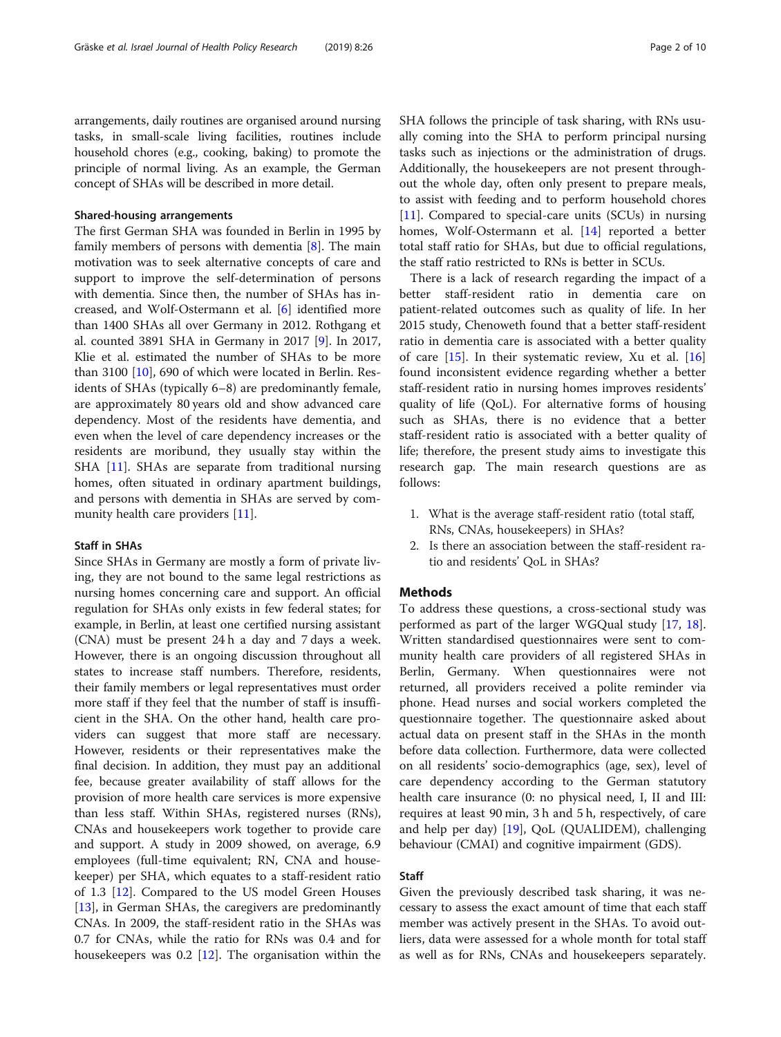arrangements, daily routines are organised around nursing tasks, in small-scale living facilities, routines include household chores (e.g., cooking, baking) to promote the principle of normal living. As an example, the German concept of SHAs will be described in more detail.

#### Shared-housing arrangements

The first German SHA was founded in Berlin in 1995 by family members of persons with dementia [\[8](#page-8-0)]. The main motivation was to seek alternative concepts of care and support to improve the self-determination of persons with dementia. Since then, the number of SHAs has increased, and Wolf-Ostermann et al. [[6\]](#page-8-0) identified more than 1400 SHAs all over Germany in 2012. Rothgang et al. counted 3891 SHA in Germany in 2017 [[9\]](#page-9-0). In 2017, Klie et al. estimated the number of SHAs to be more than 3100 [[10](#page-9-0)], 690 of which were located in Berlin. Residents of SHAs (typically 6–8) are predominantly female, are approximately 80 years old and show advanced care dependency. Most of the residents have dementia, and even when the level of care dependency increases or the residents are moribund, they usually stay within the SHA [\[11](#page-9-0)]. SHAs are separate from traditional nursing homes, often situated in ordinary apartment buildings, and persons with dementia in SHAs are served by community health care providers [[11\]](#page-9-0).

#### Staff in SHAs

Since SHAs in Germany are mostly a form of private living, they are not bound to the same legal restrictions as nursing homes concerning care and support. An official regulation for SHAs only exists in few federal states; for example, in Berlin, at least one certified nursing assistant (CNA) must be present 24 h a day and 7 days a week. However, there is an ongoing discussion throughout all states to increase staff numbers. Therefore, residents, their family members or legal representatives must order more staff if they feel that the number of staff is insufficient in the SHA. On the other hand, health care providers can suggest that more staff are necessary. However, residents or their representatives make the final decision. In addition, they must pay an additional fee, because greater availability of staff allows for the provision of more health care services is more expensive than less staff. Within SHAs, registered nurses (RNs), CNAs and housekeepers work together to provide care and support. A study in 2009 showed, on average, 6.9 employees (full-time equivalent; RN, CNA and housekeeper) per SHA, which equates to a staff-resident ratio of 1.3 [\[12](#page-9-0)]. Compared to the US model Green Houses [[13\]](#page-9-0), in German SHAs, the caregivers are predominantly CNAs. In 2009, the staff-resident ratio in the SHAs was 0.7 for CNAs, while the ratio for RNs was 0.4 and for housekeepers was 0.2 [[12\]](#page-9-0). The organisation within the SHA follows the principle of task sharing, with RNs usually coming into the SHA to perform principal nursing tasks such as injections or the administration of drugs. Additionally, the housekeepers are not present throughout the whole day, often only present to prepare meals, to assist with feeding and to perform household chores [[11\]](#page-9-0). Compared to special-care units (SCUs) in nursing homes, Wolf-Ostermann et al. [[14\]](#page-9-0) reported a better total staff ratio for SHAs, but due to official regulations, the staff ratio restricted to RNs is better in SCUs.

There is a lack of research regarding the impact of a better staff-resident ratio in dementia care on patient-related outcomes such as quality of life. In her 2015 study, Chenoweth found that a better staff-resident ratio in dementia care is associated with a better quality of care [\[15](#page-9-0)]. In their systematic review, Xu et al. [[16](#page-9-0)] found inconsistent evidence regarding whether a better staff-resident ratio in nursing homes improves residents' quality of life (QoL). For alternative forms of housing such as SHAs, there is no evidence that a better staff-resident ratio is associated with a better quality of life; therefore, the present study aims to investigate this research gap. The main research questions are as follows:

- 1. What is the average staff-resident ratio (total staff, RNs, CNAs, housekeepers) in SHAs?
- 2. Is there an association between the staff-resident ratio and residents' QoL in SHAs?

#### Methods

To address these questions, a cross-sectional study was performed as part of the larger WGQual study [[17,](#page-9-0) [18](#page-9-0)]. Written standardised questionnaires were sent to community health care providers of all registered SHAs in Berlin, Germany. When questionnaires were not returned, all providers received a polite reminder via phone. Head nurses and social workers completed the questionnaire together. The questionnaire asked about actual data on present staff in the SHAs in the month before data collection. Furthermore, data were collected on all residents' socio-demographics (age, sex), level of care dependency according to the German statutory health care insurance (0: no physical need, I, II and III: requires at least 90 min, 3 h and 5 h, respectively, of care and help per day) [\[19](#page-9-0)], QoL (QUALIDEM), challenging behaviour (CMAI) and cognitive impairment (GDS).

#### Staff

Given the previously described task sharing, it was necessary to assess the exact amount of time that each staff member was actively present in the SHAs. To avoid outliers, data were assessed for a whole month for total staff as well as for RNs, CNAs and housekeepers separately.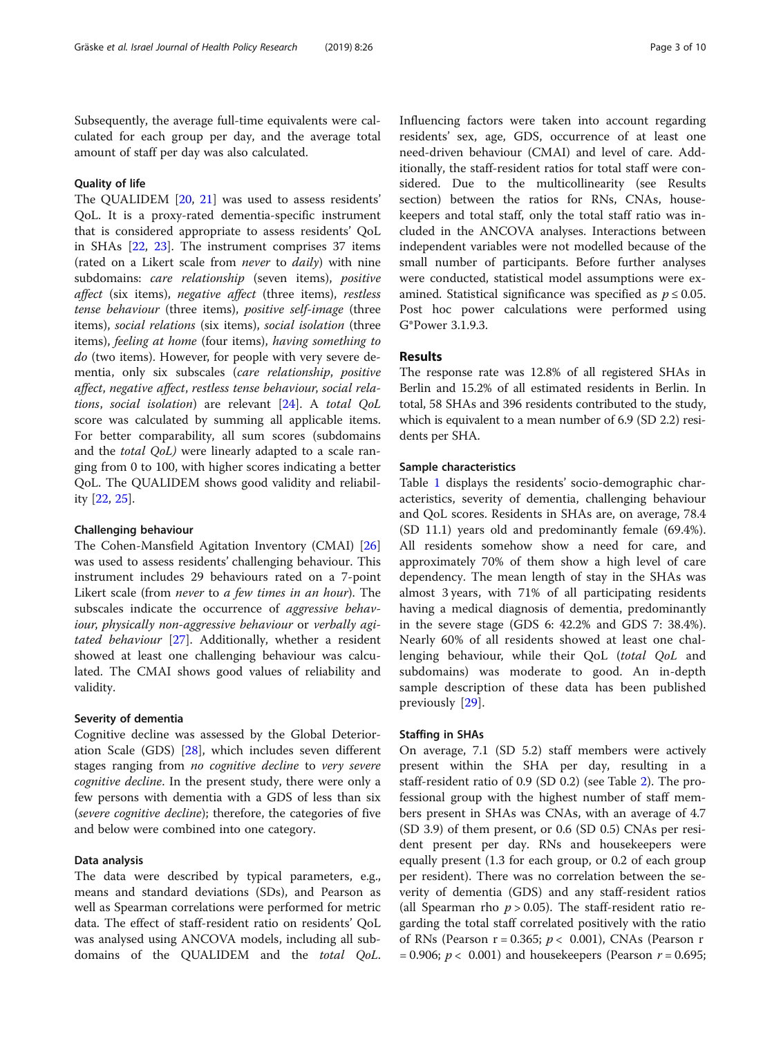Subsequently, the average full-time equivalents were calculated for each group per day, and the average total amount of staff per day was also calculated.

#### Quality of life

The QUALIDEM [\[20](#page-9-0), [21](#page-9-0)] was used to assess residents' QoL. It is a proxy-rated dementia-specific instrument that is considered appropriate to assess residents' QoL in SHAs [[22,](#page-9-0) [23](#page-9-0)]. The instrument comprises 37 items (rated on a Likert scale from never to daily) with nine subdomains: care relationship (seven items), positive affect (six items), negative affect (three items), restless tense behaviour (three items), positive self-image (three items), social relations (six items), social isolation (three items), feeling at home (four items), having something to do (two items). However, for people with very severe dementia, only six subscales (care relationship, positive affect, negative affect, restless tense behaviour, social relations, social isolation) are relevant [\[24](#page-9-0)]. A total QoL score was calculated by summing all applicable items. For better comparability, all sum scores (subdomains and the *total QoL*) were linearly adapted to a scale ranging from 0 to 100, with higher scores indicating a better QoL. The QUALIDEM shows good validity and reliability [[22,](#page-9-0) [25\]](#page-9-0).

#### Challenging behaviour

The Cohen-Mansfield Agitation Inventory (CMAI) [[26](#page-9-0)] was used to assess residents' challenging behaviour. This instrument includes 29 behaviours rated on a 7-point Likert scale (from never to a few times in an hour). The subscales indicate the occurrence of aggressive behaviour, physically non-aggressive behaviour or verbally agitated behaviour [[27\]](#page-9-0). Additionally, whether a resident showed at least one challenging behaviour was calculated. The CMAI shows good values of reliability and validity.

#### Severity of dementia

Cognitive decline was assessed by the Global Deterioration Scale (GDS) [\[28](#page-9-0)], which includes seven different stages ranging from no cognitive decline to very severe cognitive decline. In the present study, there were only a few persons with dementia with a GDS of less than six (severe cognitive decline); therefore, the categories of five and below were combined into one category.

#### Data analysis

The data were described by typical parameters, e.g., means and standard deviations (SDs), and Pearson as well as Spearman correlations were performed for metric data. The effect of staff-resident ratio on residents' QoL was analysed using ANCOVA models, including all subdomains of the QUALIDEM and the total QoL.

Influencing factors were taken into account regarding residents' sex, age, GDS, occurrence of at least one need-driven behaviour (CMAI) and level of care. Additionally, the staff-resident ratios for total staff were considered. Due to the multicollinearity (see Results section) between the ratios for RNs, CNAs, housekeepers and total staff, only the total staff ratio was included in the ANCOVA analyses. Interactions between independent variables were not modelled because of the small number of participants. Before further analyses were conducted, statistical model assumptions were examined. Statistical significance was specified as  $p \le 0.05$ . Post hoc power calculations were performed using G\*Power 3.1.9.3.

#### Results

The response rate was 12.8% of all registered SHAs in Berlin and 15.2% of all estimated residents in Berlin. In total, 58 SHAs and 396 residents contributed to the study, which is equivalent to a mean number of 6.9 (SD 2.2) residents per SHA.

#### Sample characteristics

Table [1](#page-3-0) displays the residents' socio-demographic characteristics, severity of dementia, challenging behaviour and QoL scores. Residents in SHAs are, on average, 78.4 (SD 11.1) years old and predominantly female (69.4%). All residents somehow show a need for care, and approximately 70% of them show a high level of care dependency. The mean length of stay in the SHAs was almost 3 years, with 71% of all participating residents having a medical diagnosis of dementia, predominantly in the severe stage (GDS 6: 42.2% and GDS 7: 38.4%). Nearly 60% of all residents showed at least one challenging behaviour, while their QoL (total QoL and subdomains) was moderate to good. An in-depth sample description of these data has been published previously [\[29](#page-9-0)].

#### Staffing in SHAs

On average, 7.1 (SD 5.2) staff members were actively present within the SHA per day, resulting in a staff-resident ratio of 0.9 (SD 0.2) (see Table [2\)](#page-3-0). The professional group with the highest number of staff members present in SHAs was CNAs, with an average of 4.7 (SD 3.9) of them present, or 0.6 (SD 0.5) CNAs per resident present per day. RNs and housekeepers were equally present (1.3 for each group, or 0.2 of each group per resident). There was no correlation between the severity of dementia (GDS) and any staff-resident ratios (all Spearman rho  $p > 0.05$ ). The staff-resident ratio regarding the total staff correlated positively with the ratio of RNs (Pearson  $r = 0.365$ ;  $p < 0.001$ ), CNAs (Pearson r  $= 0.906$ ;  $p < 0.001$ ) and housekeepers (Pearson  $r = 0.695$ ;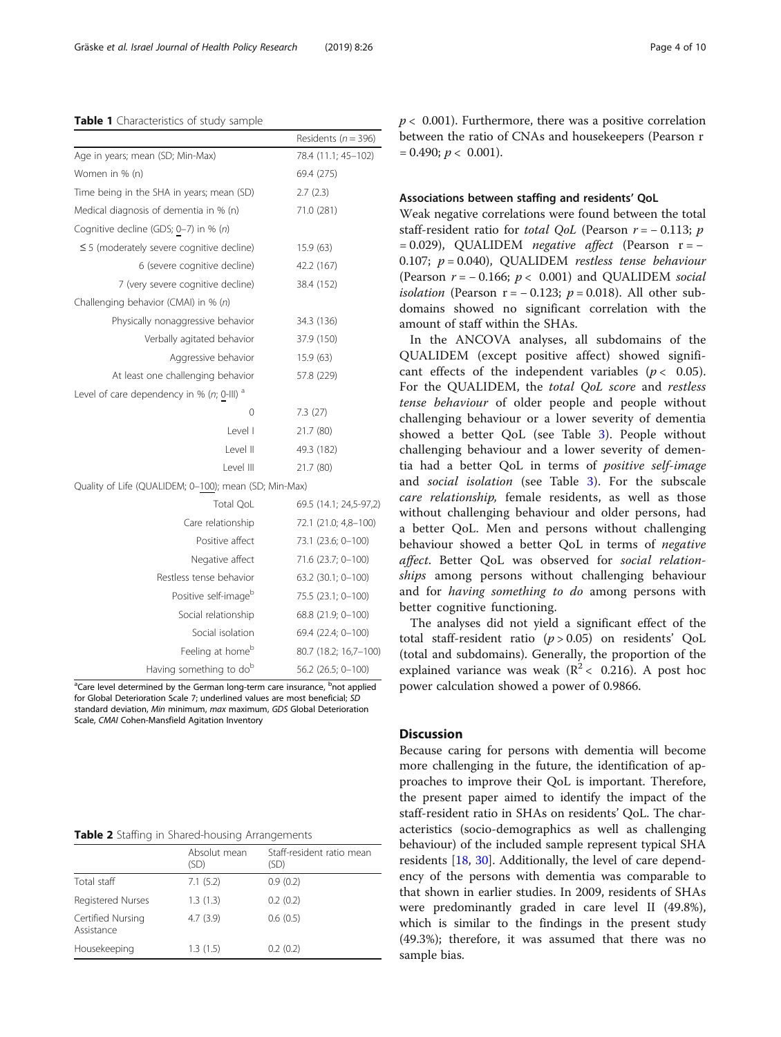#### <span id="page-3-0"></span>Table 1 Characteristics of study sample

|                                                       | Residents ( $n = 396$ ) |
|-------------------------------------------------------|-------------------------|
| Age in years; mean (SD; Min-Max)                      | 78.4 (11.1; 45-102)     |
| Women in % (n)                                        | 69.4 (275)              |
| Time being in the SHA in years; mean (SD)             | 2.7(2.3)                |
| Medical diagnosis of dementia in % (n)                | 71.0 (281)              |
| Cognitive decline (GDS; 0-7) in % (n)                 |                         |
| $\leq$ 5 (moderately severe cognitive decline)        | 15.9(63)                |
| 6 (severe cognitive decline)                          | 42.2 (167)              |
| 7 (very severe cognitive decline)                     | 38.4 (152)              |
| Challenging behavior (CMAI) in % (n)                  |                         |
| Physically nonaggressive behavior                     | 34.3 (136)              |
| Verbally agitated behavior                            | 37.9 (150)              |
| Aggressive behavior                                   | 15.9(63)                |
| At least one challenging behavior                     | 57.8 (229)              |
| Level of care dependency in % (n; 0-III) $^a$         |                         |
| 0                                                     | 7.3(27)                 |
| Level I                                               | 21.7 (80)               |
| Level II                                              | 49.3 (182)              |
| Level III                                             | 21.7 (80)               |
| Quality of Life (QUALIDEM; 0-100); mean (SD; Min-Max) |                         |
| <b>Total QoL</b>                                      | 69.5 (14.1; 24,5-97,2)  |
| Care relationship                                     | 72.1 (21.0; 4,8-100)    |
| Positive affect                                       | 73.1 (23.6; 0-100)      |
| Negative affect                                       | 71.6 (23.7; 0-100)      |
| Restless tense behavior                               | 63.2 (30.1; 0-100)      |
| Positive self-image <sup>b</sup>                      | 75.5 (23.1; 0-100)      |
| Social relationship                                   | 68.8 (21.9; 0-100)      |
| Social isolation                                      | 69.4 (22.4; 0-100)      |
| Feeling at home <sup>b</sup>                          | 80.7 (18.2; 16,7-100)   |
| Having something to do <sup>b</sup>                   | 56.2 (26.5; 0-100)      |

<sup>a</sup>Care level determined by the German long-term care insurance, <sup>b</sup>not applied for Global Deterioration Scale 7; underlined values are most beneficial; SD standard deviation, Min minimum, max maximum, GDS Global Deterioration Scale, CMAI Cohen-Mansfield Agitation Inventory

|  |  | Table 2 Staffing in Shared-housing Arrangements |  |
|--|--|-------------------------------------------------|--|
|--|--|-------------------------------------------------|--|

|                                 | Absolut mean<br>(SD) | Staff-resident ratio mean<br>(SD) |  |  |  |
|---------------------------------|----------------------|-----------------------------------|--|--|--|
| Total staff                     | 7.1(5.2)             | 0.9(0.2)                          |  |  |  |
| Registered Nurses               | 1.3(1.3)             | 0.2(0.2)                          |  |  |  |
| Certified Nursing<br>Assistance | 4.7(3.9)             | 0.6(0.5)                          |  |  |  |
| Housekeeping                    | 1.3(1.5)             | 0.2(0.2)                          |  |  |  |

 $p < 0.001$ ). Furthermore, there was a positive correlation between the ratio of CNAs and housekeepers (Pearson r  $= 0.490; p < 0.001$ ).

#### Associations between staffing and residents' QoL

Weak negative correlations were found between the total staff-resident ratio for *total QoL* (Pearson  $r = -0.113$ ; p  $= 0.029$ ), QUALIDEM *negative affect* (Pearson r = − 0.107;  $p = 0.040$ ), QUALIDEM restless tense behaviour (Pearson  $r = -0.166$ ;  $p < 0.001$ ) and QUALIDEM social isolation (Pearson r =  $-$  0.123; p = 0.018). All other subdomains showed no significant correlation with the amount of staff within the SHAs.

In the ANCOVA analyses, all subdomains of the QUALIDEM (except positive affect) showed significant effects of the independent variables ( $p < 0.05$ ). For the QUALIDEM, the total QoL score and restless tense behaviour of older people and people without challenging behaviour or a lower severity of dementia showed a better QoL (see Table [3\)](#page-4-0). People without challenging behaviour and a lower severity of dementia had a better QoL in terms of positive self-image and social isolation (see Table [3\)](#page-4-0). For the subscale care relationship, female residents, as well as those without challenging behaviour and older persons, had a better QoL. Men and persons without challenging behaviour showed a better QoL in terms of negative affect. Better QoL was observed for social relationships among persons without challenging behaviour and for having something to do among persons with better cognitive functioning.

The analyses did not yield a significant effect of the total staff-resident ratio  $(p > 0.05)$  on residents' OoL (total and subdomains). Generally, the proportion of the explained variance was weak ( $\mathbb{R}^2$  < 0.216). A post hoc power calculation showed a power of 0.9866.

#### **Discussion**

Because caring for persons with dementia will become more challenging in the future, the identification of approaches to improve their QoL is important. Therefore, the present paper aimed to identify the impact of the staff-resident ratio in SHAs on residents' QoL. The characteristics (socio-demographics as well as challenging behaviour) of the included sample represent typical SHA residents [[18](#page-9-0), [30](#page-9-0)]. Additionally, the level of care dependency of the persons with dementia was comparable to that shown in earlier studies. In 2009, residents of SHAs were predominantly graded in care level II (49.8%), which is similar to the findings in the present study (49.3%); therefore, it was assumed that there was no sample bias.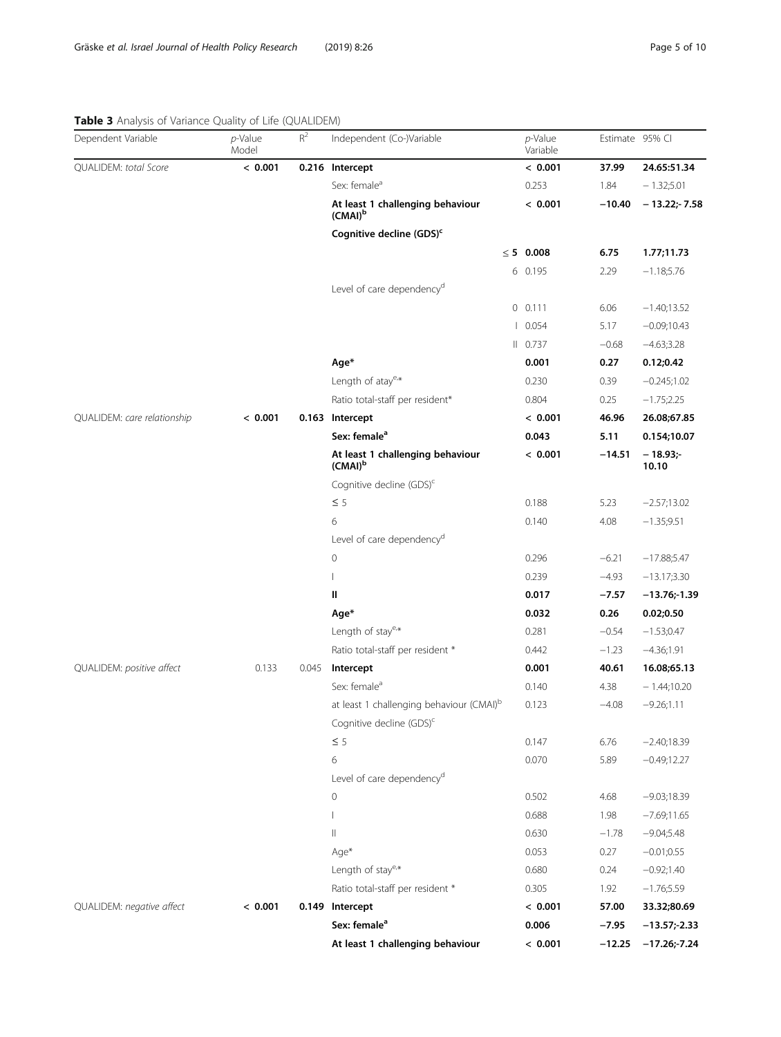#### <span id="page-4-0"></span>Table 3 Analysis of Variance Quality of Life (QUALIDEM)

| <b>Table 3</b> Arialysis Of Variance Quality Of Life (QUALIDLIVI)<br>Dependent Variable | $p$ -Value<br>Model | $R^2$ | Independent (Co-)Variable                            | $p$ -Value<br>Variable | Estimate 95% CI |                      |
|-----------------------------------------------------------------------------------------|---------------------|-------|------------------------------------------------------|------------------------|-----------------|----------------------|
| QUALIDEM: total Score                                                                   | < 0.001             |       | 0.216 Intercept                                      | < 0.001                | 37.99           | 24.65:51.34          |
|                                                                                         |                     |       | Sex: female <sup>a</sup>                             | 0.253                  | 1.84            | $-1.32;5.01$         |
|                                                                                         |                     |       | At least 1 challenging behaviour<br>$(CMAI)^b$       | < 0.001                | $-10.40$        | $-13.22; -7.58$      |
|                                                                                         |                     |       | Cognitive decline (GDS) <sup>c</sup>                 |                        |                 |                      |
|                                                                                         |                     |       |                                                      | $\leq 5$ 0.008         | 6.75            | 1.77;11.73           |
|                                                                                         |                     |       |                                                      | 6 0.195                | 2.29            | $-1.18;5.76$         |
|                                                                                         |                     |       | Level of care dependency <sup>d</sup>                |                        |                 |                      |
|                                                                                         |                     |       |                                                      | $0$ 0.111              | 6.06            | $-1.40;13.52$        |
|                                                                                         |                     |       |                                                      | 10.054                 | 5.17            | $-0.09;10.43$        |
|                                                                                         |                     |       |                                                      | 0.737                  | $-0.68$         | $-4.63;3.28$         |
|                                                                                         |                     |       | Age*                                                 | 0.001                  | 0.27            | 0.12; 0.42           |
|                                                                                         |                     |       | Length of atay <sup>e,*</sup>                        | 0.230                  | 0.39            | $-0.245;1.02$        |
|                                                                                         |                     |       | Ratio total-staff per resident*                      | 0.804                  | 0.25            | $-1.75;2.25$         |
| QUALIDEM: care relationship                                                             | < 0.001             |       | 0.163 Intercept                                      | < 0.001                | 46.96           | 26.08;67.85          |
|                                                                                         |                     |       | Sex: female <sup>a</sup>                             | 0.043                  | 5.11            | 0.154;10.07          |
|                                                                                         |                     |       | At least 1 challenging behaviour<br>$(CMAI)^b$       | < 0.001                | $-14.51$        | $-18.93; -$<br>10.10 |
|                                                                                         |                     |       | Cognitive decline (GDS) <sup>c</sup>                 |                        |                 |                      |
|                                                                                         |                     |       | $\leq$ 5                                             | 0.188                  | 5.23            | $-2.57;13.02$        |
|                                                                                         |                     |       | 6                                                    | 0.140                  | 4.08            | $-1.35;9.51$         |
|                                                                                         |                     |       | Level of care dependency <sup>d</sup>                |                        |                 |                      |
|                                                                                         |                     |       | $\mathbf 0$                                          | 0.296                  | $-6.21$         | $-17.88;5.47$        |
|                                                                                         |                     |       |                                                      | 0.239                  | $-4.93$         | $-13.17;3.30$        |
|                                                                                         |                     |       | Ш                                                    | 0.017                  | $-7.57$         | $-13.76; -1.39$      |
|                                                                                         |                     |       | Age*                                                 | 0.032                  | 0.26            | 0.02;0.50            |
|                                                                                         |                     |       | Length of stay <sup>e,*</sup>                        | 0.281                  | $-0.54$         | $-1.53;0.47$         |
|                                                                                         |                     |       | Ratio total-staff per resident *                     | 0.442                  | $-1.23$         | $-4.36;1.91$         |
| QUALIDEM: positive affect                                                               | 0.133               | 0.045 | Intercept                                            | 0.001                  | 40.61           | 16.08;65.13          |
|                                                                                         |                     |       | Sex: female <sup>a</sup>                             | 0.140                  | 4.38            | $-1.44;10.20$        |
|                                                                                         |                     |       | at least 1 challenging behaviour (CMAI) <sup>b</sup> | 0.123                  | $-4.08$         | $-9.26;1.11$         |
|                                                                                         |                     |       | Cognitive decline (GDS) <sup>c</sup>                 |                        |                 |                      |
|                                                                                         |                     |       | $\leq$ 5                                             | 0.147                  | 6.76            | $-2.40;18.39$        |
|                                                                                         |                     |       | $6\,$                                                | 0.070                  | 5.89            | $-0.49;12.27$        |
|                                                                                         |                     |       | Level of care dependency <sup>d</sup>                |                        |                 |                      |
|                                                                                         |                     |       | $\mathbb O$                                          | 0.502                  | 4.68            | $-9.03;18.39$        |
|                                                                                         |                     |       |                                                      | 0.688                  | 1.98            | $-7.69;11.65$        |
|                                                                                         |                     |       | $\mathop{\parallel}$                                 | 0.630                  | $-1.78$         | $-9.04;5.48$         |
|                                                                                         |                     |       | Age*                                                 | 0.053                  | 0.27            | $-0.01;0.55$         |
|                                                                                         |                     |       | Length of stay <sup>e,*</sup>                        | 0.680                  | 0.24            | $-0.92;1.40$         |
|                                                                                         |                     |       | Ratio total-staff per resident *                     | 0.305                  | 1.92            | $-1.76;5.59$         |
| QUALIDEM: negative affect                                                               | < 0.001             |       | 0.149 Intercept                                      | < 0.001                | 57.00           | 33.32;80.69          |
|                                                                                         |                     |       | Sex: female <sup>a</sup>                             | 0.006                  | $-7.95$         | –13.57;-2.33         |
|                                                                                         |                     |       | At least 1 challenging behaviour                     | < 0.001                | $-12.25$        | $-17.26; -7.24$      |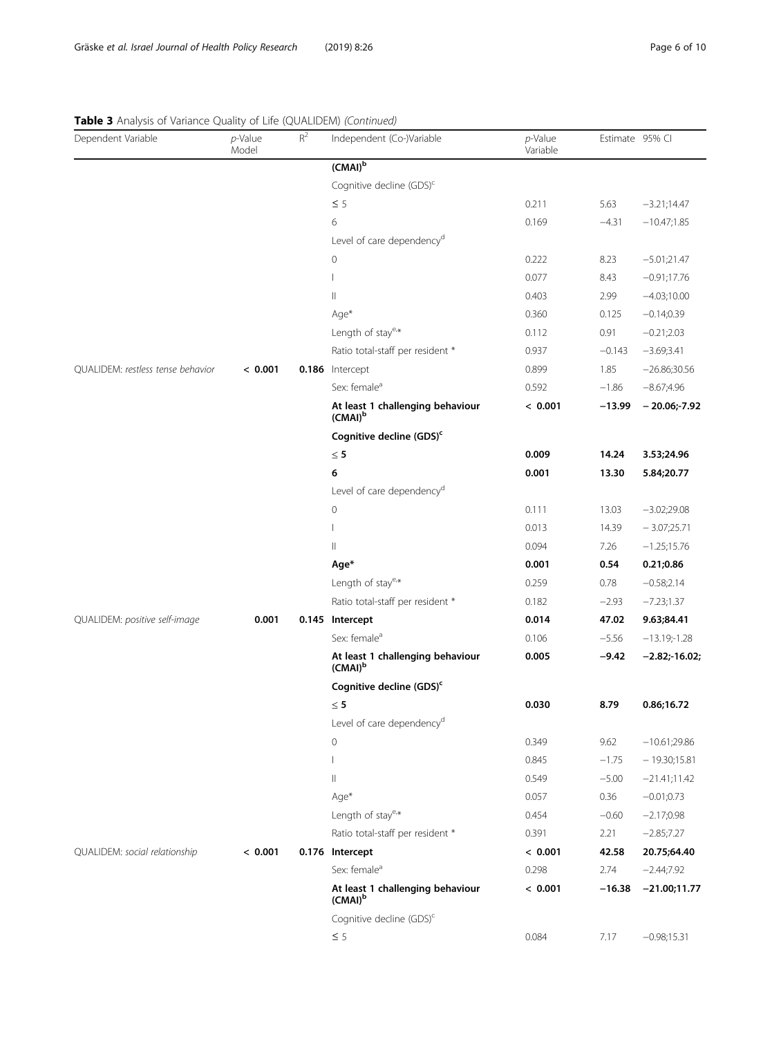| Dependent Variable                | $p$ -Value<br>Model | $R^2$ | Independent (Co-)Variable                                                                                                                                                                                                                                                                                                                                                                                                    | $p$ -Value<br>Variable | Estimate 95% CI |                  |
|-----------------------------------|---------------------|-------|------------------------------------------------------------------------------------------------------------------------------------------------------------------------------------------------------------------------------------------------------------------------------------------------------------------------------------------------------------------------------------------------------------------------------|------------------------|-----------------|------------------|
|                                   |                     |       | (CMAI) <sup>b</sup>                                                                                                                                                                                                                                                                                                                                                                                                          |                        |                 |                  |
|                                   |                     |       | Cognitive decline (GDS) <sup>c</sup>                                                                                                                                                                                                                                                                                                                                                                                         |                        |                 |                  |
|                                   |                     |       | $\leq 5$                                                                                                                                                                                                                                                                                                                                                                                                                     | 0.211                  | 5.63            | $-3.21;14.47$    |
|                                   |                     |       | 6                                                                                                                                                                                                                                                                                                                                                                                                                            | 0.169                  | $-4.31$         | $-10.47;1.85$    |
|                                   |                     |       | Level of care dependency <sup>d</sup>                                                                                                                                                                                                                                                                                                                                                                                        |                        |                 |                  |
|                                   |                     |       | $\mathbf 0$                                                                                                                                                                                                                                                                                                                                                                                                                  | 0.222                  | 8.23            | $-5.01;21.47$    |
|                                   |                     |       |                                                                                                                                                                                                                                                                                                                                                                                                                              | 0.077                  | 8.43            | $-0.91;17.76$    |
|                                   |                     |       | Ш.                                                                                                                                                                                                                                                                                                                                                                                                                           | 0.403                  | 2.99            | $-4.03;10.00$    |
|                                   |                     |       | Age*                                                                                                                                                                                                                                                                                                                                                                                                                         | 0.360                  | 0.125           | $-0.14;0.39$     |
|                                   |                     |       | Length of stay <sup>e,*</sup>                                                                                                                                                                                                                                                                                                                                                                                                | 0.112                  | 0.91            | $-0.21;2.03$     |
|                                   |                     |       | Ratio total-staff per resident *                                                                                                                                                                                                                                                                                                                                                                                             | 0.937                  | $-0.143$        | $-3.69;3.41$     |
| QUALIDEM: restless tense behavior | < 0.001             |       | 0.186 Intercept                                                                                                                                                                                                                                                                                                                                                                                                              | 0.899                  | 1.85            | $-26.86;30.56$   |
|                                   |                     |       | Sex: female <sup>a</sup>                                                                                                                                                                                                                                                                                                                                                                                                     | 0.592                  | $-1.86$         | $-8.67;4.96$     |
|                                   |                     |       | At least 1 challenging behaviour<br>(CMAI) <sup>b</sup>                                                                                                                                                                                                                                                                                                                                                                      | < 0.001                | $-13.99$        | $-20.06; -7.92$  |
|                                   |                     |       | Cognitive decline (GDS) <sup>c</sup>                                                                                                                                                                                                                                                                                                                                                                                         |                        |                 |                  |
|                                   |                     |       | $\leq 5$                                                                                                                                                                                                                                                                                                                                                                                                                     | 0.009                  | 14.24           | 3.53;24.96       |
|                                   |                     |       | 6                                                                                                                                                                                                                                                                                                                                                                                                                            | 0.001                  | 13.30           | 5.84;20.77       |
|                                   |                     |       | Level of care dependency <sup>d</sup>                                                                                                                                                                                                                                                                                                                                                                                        |                        |                 |                  |
|                                   |                     |       | $\mathsf{O}\xspace$                                                                                                                                                                                                                                                                                                                                                                                                          | 0.111                  | 13.03           | $-3.02;29.08$    |
|                                   |                     |       |                                                                                                                                                                                                                                                                                                                                                                                                                              | 0.013                  | 14.39           | $-3.07;25.71$    |
|                                   |                     |       | $\label{eq:1} \prod_{i=1}^n \alpha_i \, \prod_{i=1}^n \alpha_i \, \prod_{i=1}^n \alpha_i \, \prod_{i=1}^n \alpha_i \, \prod_{i=1}^n \alpha_i \, \prod_{i=1}^n \alpha_i \, \prod_{i=1}^n \alpha_i \, \prod_{i=1}^n \alpha_i \, \prod_{i=1}^n \alpha_i \, \prod_{i=1}^n \alpha_i \, \prod_{i=1}^n \alpha_i \, \prod_{i=1}^n \alpha_i \, \prod_{i=1}^n \alpha_i \, \prod_{i=1}^n \alpha_i \, \prod_{i=1}^n \alpha_i \, \prod_{$ | 0.094                  | 7.26            | $-1.25;15.76$    |
|                                   |                     |       | Age*                                                                                                                                                                                                                                                                                                                                                                                                                         | 0.001                  | 0.54            | 0.21;0.86        |
|                                   |                     |       | Length of stay <sup>e,*</sup>                                                                                                                                                                                                                                                                                                                                                                                                | 0.259                  | 0.78            | $-0.58;2.14$     |
|                                   |                     |       | Ratio total-staff per resident *                                                                                                                                                                                                                                                                                                                                                                                             | 0.182                  | $-2.93$         | $-7.23;1.37$     |
| QUALIDEM: positive self-image     | 0.001               |       | 0.145 Intercept                                                                                                                                                                                                                                                                                                                                                                                                              | 0.014                  | 47.02           | 9.63;84.41       |
|                                   |                     |       | Sex: female <sup>a</sup>                                                                                                                                                                                                                                                                                                                                                                                                     | 0.106                  | $-5.56$         | $-13.19; -1.28$  |
|                                   |                     |       | At least 1 challenging behaviour<br>(CMAI) <sup>b</sup>                                                                                                                                                                                                                                                                                                                                                                      | 0.005                  | $-9.42$         | $-2.82; -16.02;$ |
|                                   |                     |       | Cognitive decline (GDS) <sup>c</sup>                                                                                                                                                                                                                                                                                                                                                                                         |                        |                 |                  |
|                                   |                     |       | $\leq 5$                                                                                                                                                                                                                                                                                                                                                                                                                     | 0.030                  | 8.79            | 0.86;16.72       |
|                                   |                     |       | Level of care dependency <sup>d</sup>                                                                                                                                                                                                                                                                                                                                                                                        |                        |                 |                  |
|                                   |                     |       | $\mathbb O$                                                                                                                                                                                                                                                                                                                                                                                                                  | 0.349                  | 9.62            | $-10.61;29.86$   |
|                                   |                     |       |                                                                                                                                                                                                                                                                                                                                                                                                                              | 0.845                  | $-1.75$         | $-19.30;15.81$   |
|                                   |                     |       | $\label{eq:1} \prod_{i=1}^n \alpha_i \, \prod_{i=1}^n \alpha_i \, \prod_{i=1}^n \alpha_i \, \prod_{i=1}^n \alpha_i \, \prod_{i=1}^n \alpha_i \, \prod_{i=1}^n \alpha_i \, \prod_{i=1}^n \alpha_i \, \prod_{i=1}^n \alpha_i \, \prod_{i=1}^n \alpha_i \, \prod_{i=1}^n \alpha_i \, \prod_{i=1}^n \alpha_i \, \prod_{i=1}^n \alpha_i \, \prod_{i=1}^n \alpha_i \, \prod_{i=1}^n \alpha_i \, \prod_{i=1}^n \alpha_i \, \prod_{$ | 0.549                  | $-5.00$         | $-21.41;11.42$   |
|                                   |                     |       | Age*                                                                                                                                                                                                                                                                                                                                                                                                                         | 0.057                  | 0.36            | $-0.01;0.73$     |
|                                   |                     |       | Length of stay <sup>e,*</sup>                                                                                                                                                                                                                                                                                                                                                                                                | 0.454                  | $-0.60$         | $-2.17;0.98$     |
|                                   |                     |       | Ratio total-staff per resident *                                                                                                                                                                                                                                                                                                                                                                                             | 0.391                  | 2.21            | $-2.85;7.27$     |
| QUALIDEM: social relationship     | < 0.001             |       | 0.176 Intercept                                                                                                                                                                                                                                                                                                                                                                                                              | < 0.001                | 42.58           | 20.75;64.40      |
|                                   |                     |       | Sex: female <sup>a</sup>                                                                                                                                                                                                                                                                                                                                                                                                     | 0.298                  | 2.74            | $-2.44;7.92$     |
|                                   |                     |       | At least 1 challenging behaviour<br>(CMAI) <sup>b</sup>                                                                                                                                                                                                                                                                                                                                                                      | < 0.001                | $-16.38$        | $-21.00;11.77$   |
|                                   |                     |       | Cognitive decline (GDS) <sup>c</sup>                                                                                                                                                                                                                                                                                                                                                                                         |                        |                 |                  |
|                                   |                     |       | $\leq$ 5                                                                                                                                                                                                                                                                                                                                                                                                                     | 0.084                  | 7.17            | $-0.98;15.31$    |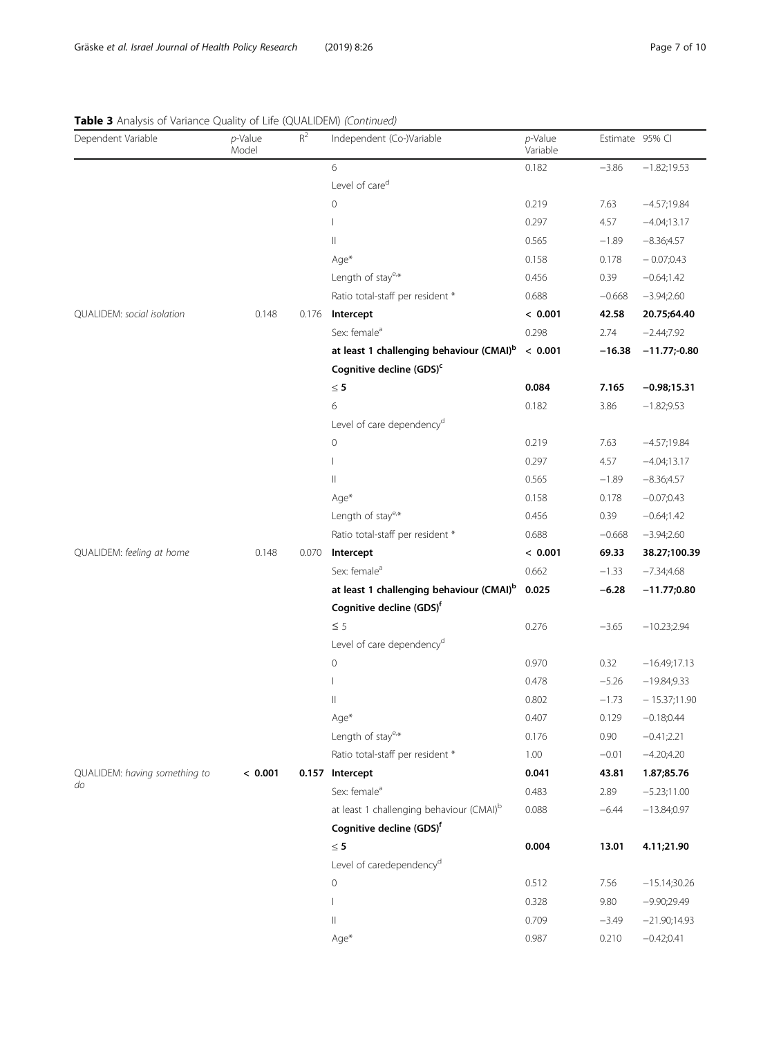### Dependent Variable **p-Value** Model  $R^2$  Independent (Co-)Variable p-Value ,<br>Variable Estimate 95% CI 6 0.182 −3.86 −1.82;19.53 Level of care<sup>d</sup> 0 0.219 7.63 −4.57;19.84 I 0.297 4.57 −4.04;13.17 II 0.565 −1.89 −8.36;4.57 Age<sup>\*</sup> 0.158 0.178 − 0.07;0.43 Length of stay<sup>e,\*</sup> 0.456 0.39  $-0.64;1.42$ Ratio total-staff per resident \* 0.688 −0.668 −3.94;2.60 QUALIDEM: social isolation 0.148 0.176 Intercept < 0.001 42.58 20.75;64.40 Sex: female<sup>a</sup> 0.298 2.74 −2.44;7.92 at least 1 challenging behaviour (CMAI) $<$  < 0.001  $-16.38$  -11.77;-0.80 Cognitive decline (GDS)<sup>c</sup>  $\leq$  5 0.084 7.165 −0.98;15.31 6 0.182 3.86 −1.82;9.53 Level of care dependency<sup>d</sup> 0 0.219 7.63 −4.57;19.84 I 0.297 4.57 −4.04;13.17 II 0.565 −1.89 −8.36;4.57 Age<sup>\*</sup> 0.158 0.178 −0.07;0.43 Length of stay<sup>e,∗</sup> 0.456 0.39 −0.64;1.42 Ratio total-staff per resident \* 0.688 −0.668 −3.94;2.60 QUALIDEM: feeling at home 0.148 0.070 Intercept < 0.001 69.33 38.27;100.39 Sex: female<sup>a</sup> 0.662 −1.33 −7.34;4.68 at least 1 challenging behaviour (CMAI)<sup>b</sup> 0.025 -6.28 -11.77;0.80 Cognitive decline (GDS)<sup>f</sup>  $\leq$  5  $-3.65$   $-10.23;2.94$ Level of care dependency<sup>d</sup> 0 0.970 0.32 −16.49;17.13 I 0.478 −5.26 −19.84;9.33 II 0.802 −1.73 − 15.37;11.90 Age<sup>\*</sup> 0.407 0.129 −0.18;0.44 Length of stay<sup>e,∗</sup> 0.176 0.90 −0.41;2.21 Ratio total-staff per resident \* 1.00 −0.01 −4.20;4.20 QUALIDEM: having something to do < 0.001 0.157 Intercept 0.041 43.81 1.87;85.76 Sex: female<sup>a</sup> 0.483 2.89 −5.23;11.00 at least 1 challenging behaviour (CMAI)<sup>b</sup> 0.088 -6.44 -13.84;0.97 Cognitive decline (GDS)<sup>f</sup>  $\leq$  5 0.004 13.01 4.11;21.90 Level of caredependency<sup>d</sup> 0 0.512 7.56 −15.14;30.26 I 0.328 9.80 −9.90;29.49 II 0.709 −3.49 −21.90;14.93 Age<sup>\*</sup> 0.987 0.210 −0.42;0.41

#### Table 3 Analysis of Variance Quality of Life (QUALIDEM) (Continued)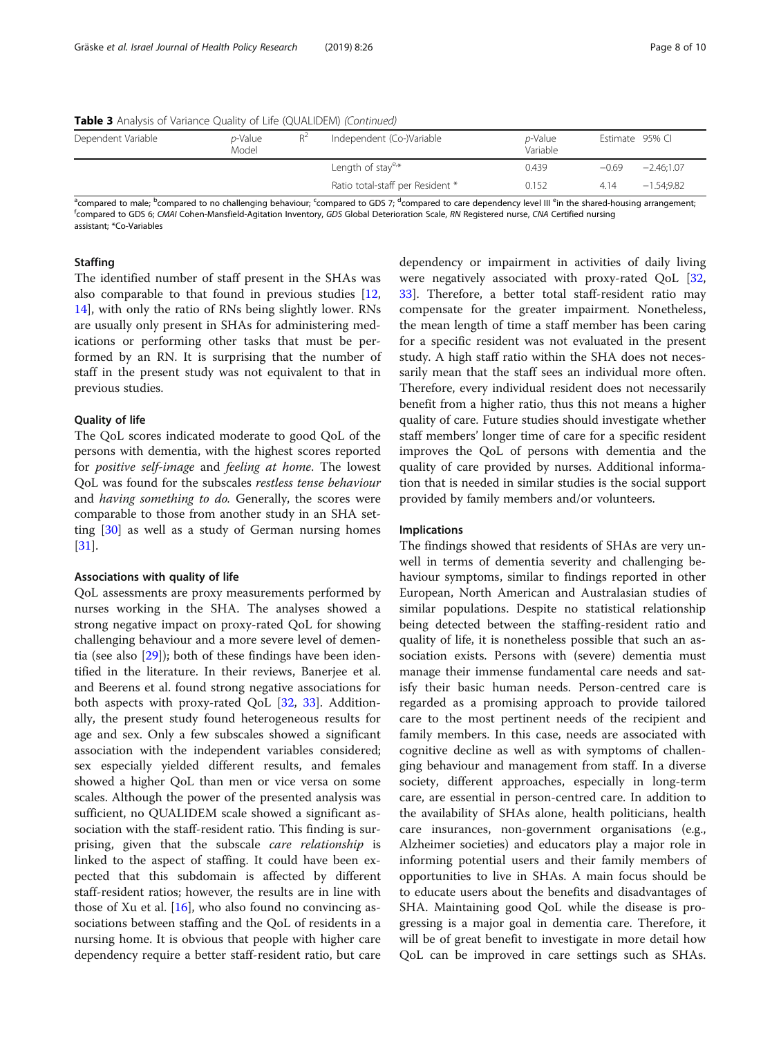Table 3 Analysis of Variance Quality of Life (QUALIDEM) (Continued)

| Dependent Variable | <i>p</i> -Value<br>Model | Independent (Co-)Variable        | <i>p</i> -Value<br>Variable | Estimate 95% CI |              |
|--------------------|--------------------------|----------------------------------|-----------------------------|-----------------|--------------|
|                    |                          | Length of stay <sup>e,*</sup>    | 0.439                       | $-0.69$         | $-2.46:1.07$ |
|                    |                          | Ratio total-staff per Resident * | 0.152                       | 4.14            | $-1.54:9.82$ |

<sup>a</sup>compared to male; <sup>b</sup>compared to no challenging behaviour; <sup>c</sup>compared to GDS 7; <sup>d</sup>compared to care dependency level III <sup>e</sup>in the shared-housing arrangement;<br><sup>f</sup>compared to GDS 6: CMALCohop Mapsfield Agitation Invento <sup>f</sup>compared to GDS 6; CMAI Cohen-Mansfield-Agitation Inventory, GDS Global Deterioration Scale, RN Registered nurse, CNA Certified nursing assistant; \*Co-Variables

#### **Staffing**

The identified number of staff present in the SHAs was also comparable to that found in previous studies [[12](#page-9-0), [14\]](#page-9-0), with only the ratio of RNs being slightly lower. RNs are usually only present in SHAs for administering medications or performing other tasks that must be performed by an RN. It is surprising that the number of staff in the present study was not equivalent to that in previous studies.

#### Quality of life

The QoL scores indicated moderate to good QoL of the persons with dementia, with the highest scores reported for positive self-image and feeling at home. The lowest QoL was found for the subscales restless tense behaviour and having something to do. Generally, the scores were comparable to those from another study in an SHA setting [\[30\]](#page-9-0) as well as a study of German nursing homes [[31\]](#page-9-0).

#### Associations with quality of life

QoL assessments are proxy measurements performed by nurses working in the SHA. The analyses showed a strong negative impact on proxy-rated QoL for showing challenging behaviour and a more severe level of dementia (see also [[29\]](#page-9-0)); both of these findings have been identified in the literature. In their reviews, Banerjee et al. and Beerens et al. found strong negative associations for both aspects with proxy-rated QoL [[32](#page-9-0), [33\]](#page-9-0). Additionally, the present study found heterogeneous results for age and sex. Only a few subscales showed a significant association with the independent variables considered; sex especially yielded different results, and females showed a higher QoL than men or vice versa on some scales. Although the power of the presented analysis was sufficient, no QUALIDEM scale showed a significant association with the staff-resident ratio. This finding is surprising, given that the subscale care relationship is linked to the aspect of staffing. It could have been expected that this subdomain is affected by different staff-resident ratios; however, the results are in line with those of Xu et al. [\[16](#page-9-0)], who also found no convincing associations between staffing and the QoL of residents in a nursing home. It is obvious that people with higher care dependency require a better staff-resident ratio, but care

dependency or impairment in activities of daily living were negatively associated with proxy-rated QoL [[32](#page-9-0), [33\]](#page-9-0). Therefore, a better total staff-resident ratio may compensate for the greater impairment. Nonetheless, the mean length of time a staff member has been caring for a specific resident was not evaluated in the present study. A high staff ratio within the SHA does not necessarily mean that the staff sees an individual more often. Therefore, every individual resident does not necessarily benefit from a higher ratio, thus this not means a higher quality of care. Future studies should investigate whether staff members' longer time of care for a specific resident improves the QoL of persons with dementia and the quality of care provided by nurses. Additional information that is needed in similar studies is the social support provided by family members and/or volunteers.

#### Implications

The findings showed that residents of SHAs are very unwell in terms of dementia severity and challenging behaviour symptoms, similar to findings reported in other European, North American and Australasian studies of similar populations. Despite no statistical relationship being detected between the staffing-resident ratio and quality of life, it is nonetheless possible that such an association exists. Persons with (severe) dementia must manage their immense fundamental care needs and satisfy their basic human needs. Person-centred care is regarded as a promising approach to provide tailored care to the most pertinent needs of the recipient and family members. In this case, needs are associated with cognitive decline as well as with symptoms of challenging behaviour and management from staff. In a diverse society, different approaches, especially in long-term care, are essential in person-centred care. In addition to the availability of SHAs alone, health politicians, health care insurances, non-government organisations (e.g., Alzheimer societies) and educators play a major role in informing potential users and their family members of opportunities to live in SHAs. A main focus should be to educate users about the benefits and disadvantages of SHA. Maintaining good QoL while the disease is progressing is a major goal in dementia care. Therefore, it will be of great benefit to investigate in more detail how QoL can be improved in care settings such as SHAs.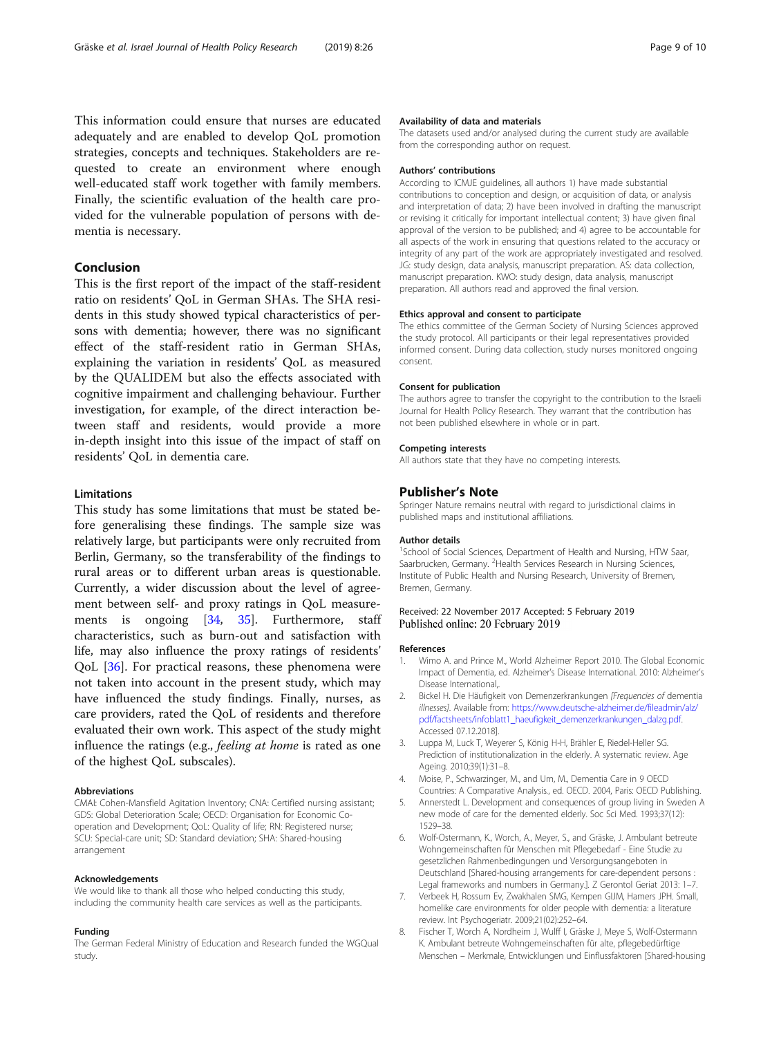<span id="page-8-0"></span>This information could ensure that nurses are educated adequately and are enabled to develop QoL promotion strategies, concepts and techniques. Stakeholders are requested to create an environment where enough well-educated staff work together with family members. Finally, the scientific evaluation of the health care provided for the vulnerable population of persons with dementia is necessary.

#### Conclusion

This is the first report of the impact of the staff-resident ratio on residents' QoL in German SHAs. The SHA residents in this study showed typical characteristics of persons with dementia; however, there was no significant effect of the staff-resident ratio in German SHAs, explaining the variation in residents' QoL as measured by the QUALIDEM but also the effects associated with cognitive impairment and challenging behaviour. Further investigation, for example, of the direct interaction between staff and residents, would provide a more in-depth insight into this issue of the impact of staff on residents' QoL in dementia care.

#### Limitations

This study has some limitations that must be stated before generalising these findings. The sample size was relatively large, but participants were only recruited from Berlin, Germany, so the transferability of the findings to rural areas or to different urban areas is questionable. Currently, a wider discussion about the level of agreement between self- and proxy ratings in QoL measurements is ongoing [\[34](#page-9-0), [35](#page-9-0)]. Furthermore, staff characteristics, such as burn-out and satisfaction with life, may also influence the proxy ratings of residents' QoL [\[36\]](#page-9-0). For practical reasons, these phenomena were not taken into account in the present study, which may have influenced the study findings. Finally, nurses, as care providers, rated the QoL of residents and therefore evaluated their own work. This aspect of the study might influence the ratings (e.g., *feeling at home* is rated as one of the highest QoL subscales).

#### Abbreviations

CMAI: Cohen-Mansfield Agitation Inventory; CNA: Certified nursing assistant; GDS: Global Deterioration Scale; OECD: Organisation for Economic Cooperation and Development; QoL: Quality of life; RN: Registered nurse; SCU: Special-care unit; SD: Standard deviation; SHA: Shared-housing arrangement

#### Acknowledgements

We would like to thank all those who helped conducting this study, including the community health care services as well as the participants.

#### Funding

The German Federal Ministry of Education and Research funded the WGQual study.

#### Availability of data and materials

The datasets used and/or analysed during the current study are available from the corresponding author on request.

#### Authors' contributions

According to ICMJE guidelines, all authors 1) have made substantial contributions to conception and design, or acquisition of data, or analysis and interpretation of data; 2) have been involved in drafting the manuscript or revising it critically for important intellectual content; 3) have given final approval of the version to be published; and 4) agree to be accountable for all aspects of the work in ensuring that questions related to the accuracy or integrity of any part of the work are appropriately investigated and resolved. JG: study design, data analysis, manuscript preparation. AS: data collection, manuscript preparation. KWO: study design, data analysis, manuscript preparation. All authors read and approved the final version.

#### Ethics approval and consent to participate

The ethics committee of the German Society of Nursing Sciences approved the study protocol. All participants or their legal representatives provided informed consent. During data collection, study nurses monitored ongoing consent.

#### Consent for publication

The authors agree to transfer the copyright to the contribution to the Israeli Journal for Health Policy Research. They warrant that the contribution has not been published elsewhere in whole or in part.

#### Competing interests

All authors state that they have no competing interests.

#### Publisher's Note

Springer Nature remains neutral with regard to jurisdictional claims in published maps and institutional affiliations.

#### Author details

<sup>1</sup>School of Social Sciences, Department of Health and Nursing, HTW Saar, Saarbrucken, Germany. <sup>2</sup> Health Services Research in Nursing Sciences, Institute of Public Health and Nursing Research, University of Bremen, Bremen, Germany.

#### Received: 22 November 2017 Accepted: 5 February 2019 Published online: 20 February 2019

#### References

- 1. Wimo A. and Prince M., World Alzheimer Report 2010. The Global Economic Impact of Dementia, ed. Alzheimer's Disease International. 2010: Alzheimer's Disease International,.
- 2. Bickel H. Die Häufigkeit von Demenzerkrankungen [Frequencies of dementia illnesses]. Available from: [https://www.deutsche-alzheimer.de/fileadmin/alz/](https://www.deutsche-alzheimer.de/fileadmin/alz/pdf/factsheets/infoblatt1_haeufigkeit_demenzerkrankungen_dalzg.pdf) [pdf/factsheets/infoblatt1\\_haeufigkeit\\_demenzerkrankungen\\_dalzg.pdf.](https://www.deutsche-alzheimer.de/fileadmin/alz/pdf/factsheets/infoblatt1_haeufigkeit_demenzerkrankungen_dalzg.pdf) Accessed 07.12.2018].
- 3. Luppa M, Luck T, Weyerer S, König H-H, Brähler E, Riedel-Heller SG. Prediction of institutionalization in the elderly. A systematic review. Age Ageing. 2010;39(1):31–8.
- 4. Moise, P., Schwarzinger, M., and Um, M., Dementia Care in 9 OECD Countries: A Comparative Analysis., ed. OECD. 2004, Paris: OECD Publishing.
- 5. Annerstedt L. Development and consequences of group living in Sweden A new mode of care for the demented elderly. Soc Sci Med. 1993;37(12): 1529–38.
- 6. Wolf-Ostermann, K., Worch, A., Meyer, S., and Gräske, J. Ambulant betreute Wohngemeinschaften für Menschen mit Pflegebedarf - Eine Studie zu gesetzlichen Rahmenbedingungen und Versorgungsangeboten in Deutschland [Shared-housing arrangements for care-dependent persons : Legal frameworks and numbers in Germany.]. Z Gerontol Geriat 2013: 1–7.
- 7. Verbeek H, Rossum Ev, Zwakhalen SMG, Kempen GIJM, Hamers JPH. Small, homelike care environments for older people with dementia: a literature review. Int Psychogeriatr. 2009;21(02):252–64.
- 8. Fischer T, Worch A, Nordheim J, Wulff I, Gräske J, Meye S, Wolf-Ostermann K. Ambulant betreute Wohngemeinschaften für alte, pflegebedürftige Menschen – Merkmale, Entwicklungen und Einflussfaktoren [Shared-housing